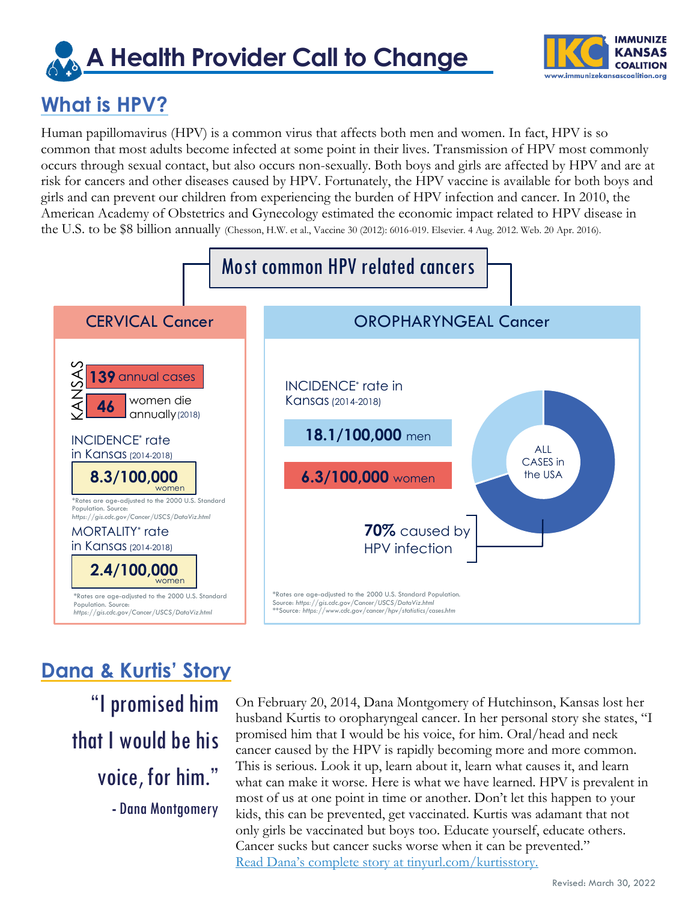# **A Health Provider Call to Change**



### **What is HPV?**

Human papillomavirus (HPV) is a common virus that affects both men and women. In fact, HPV is so common that most adults become infected at some point in their lives. Transmission of HPV most commonly occurs through sexual contact, but also occurs non-sexually. Both boys and girls are affected by HPV and are at risk for cancers and other diseases caused by HPV. Fortunately, the HPV vaccine is available for both boys and girls and can prevent our children from experiencing the burden of HPV infection and cancer. In 2010, the American Academy of Obstetrics and Gynecology estimated the economic impact related to HPV disease in the U.S. to be \$8 billion annually (Chesson, H.W. et al., Vaccine 30 (2012): 6016-019. Elsevier. 4 Aug. 2012. Web. 20 Apr. 2016).



### **Dana & Kurtis' Story**

"I promised him that I would be his voice, for him." **-** Dana Montgomery

On February 20, 2014, Dana Montgomery of Hutchinson, Kansas lost her husband Kurtis to oropharyngeal cancer. In her personal story she states, "I promised him that I would be his voice, for him. Oral/head and neck cancer caused by the HPV is rapidly becoming more and more common. This is serious. Look it up, learn about it, learn what causes it, and learn what can make it worse. Here is what we have learned. HPV is prevalent in most of us at one point in time or another. Don't let this happen to your kids, this can be prevented, get vaccinated. Kurtis was adamant that not only girls be vaccinated but boys too. Educate yourself, educate others. Cancer sucks but cancer sucks worse when it can be prevented." Read Dana's complete story [at tinyurl.com/kurtisstory.](https://tinyurl.com/KurtisStory)